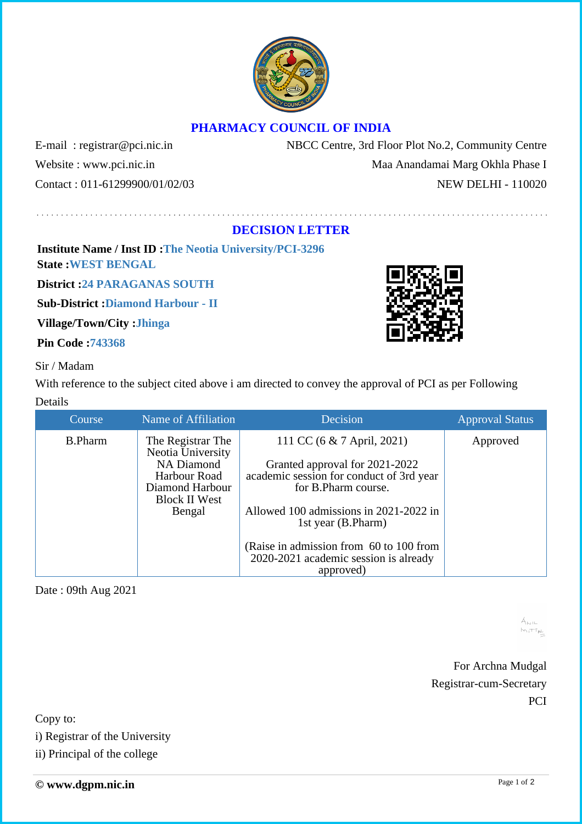

## **PHARMACY COUNCIL OF INDIA**

E-mail : registrar@pci.nic.in NBCC Centre, 3rd Floor Plot No.2, Community Centre Website : www.pci.nic.in Maa Anandamai Marg Okhla Phase I Contact : 011-61299900/01/02/03 NEW DELHI - 110020

## **DECISION LETTER**

**Institute Name / Inst ID :The Neotia University/PCI-3296 State :WEST BENGAL**

**District :24 PARAGANAS SOUTH**

**Sub-District :Diamond Harbour - II**

**Village/Town/City :Jhinga**

**Pin Code :743368**

Sir / Madam

With reference to the subject cited above i am directed to convey the approval of PCI as per Following Details

| Course         | Name of Affiliation                    | Decision                                                                         | <b>Approval Status</b> |
|----------------|----------------------------------------|----------------------------------------------------------------------------------|------------------------|
| <b>B.Pharm</b> | The Registrar The<br>Neotia University | 111 CC (6 & 7 April, 2021)                                                       | Approved               |
|                | <b>NA Diamond</b>                      | Granted approval for 2021-2022                                                   |                        |
|                | Harbour Road                           | academic session for conduct of 3rd year                                         |                        |
|                | Diamond Harbour                        | for B.Pharm course.                                                              |                        |
|                | <b>Block II West</b>                   |                                                                                  |                        |
|                | Bengal                                 | Allowed 100 admissions in 2021-2022 in<br>1st year (B.Pharm)                     |                        |
|                |                                        | (Raise in admission from 60 to 100 from<br>2020-2021 academic session is already |                        |
|                |                                        | approved)                                                                        |                        |

Date : 09th Aug 2021

 $A_{\rm M1L}$  $M_{\rm H} + 7 M_{\rm H}$ 

For Archna Mudgal Registrar-cum-Secretary PCI

Copy to:

i) Registrar of the University

ii) Principal of the college